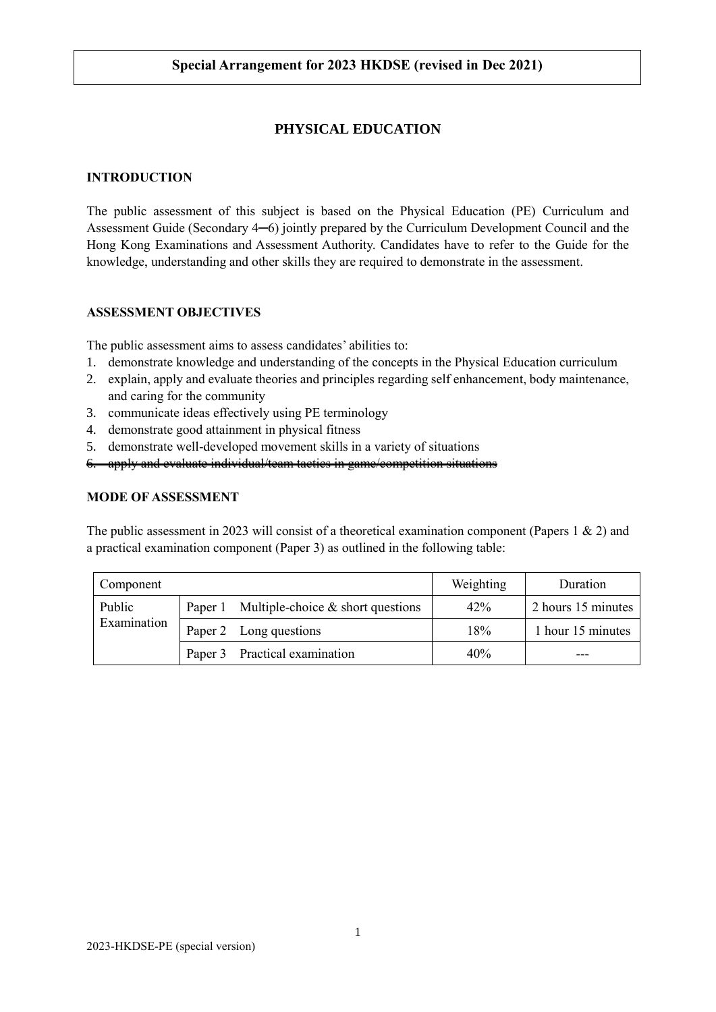# **PHYSICAL EDUCATION**

#### **INTRODUCTION**

The public assessment of this subject is based on the Physical Education (PE) Curriculum and Assessment Guide (Secondary 4─6) jointly prepared by the Curriculum Development Council and the Hong Kong Examinations and Assessment Authority. Candidates have to refer to the Guide for the knowledge, understanding and other skills they are required to demonstrate in the assessment.

### **ASSESSMENT OBJECTIVES**

The public assessment aims to assess candidates' abilities to:

- 1. demonstrate knowledge and understanding of the concepts in the Physical Education curriculum
- 2. explain, apply and evaluate theories and principles regarding self enhancement, body maintenance, and caring for the community
- 3. communicate ideas effectively using PE terminology
- 4. demonstrate good attainment in physical fitness
- 5. demonstrate well-developed movement skills in a variety of situations
- 6. apply and evaluate individual/team tactics in game/competition situations

#### **MODE OF ASSESSMENT**

The public assessment in 2023 will consist of a theoretical examination component (Papers 1 & 2) and a practical examination component (Paper 3) as outlined in the following table:

| Component             |                                             | Weighting | Duration           |
|-----------------------|---------------------------------------------|-----------|--------------------|
| Public<br>Examination | Paper 1 Multiple-choice $&$ short questions | 42%       | 2 hours 15 minutes |
|                       | Paper 2 Long questions                      | 18%       | 1 hour 15 minutes  |
|                       | Paper 3 Practical examination               | 40%       |                    |